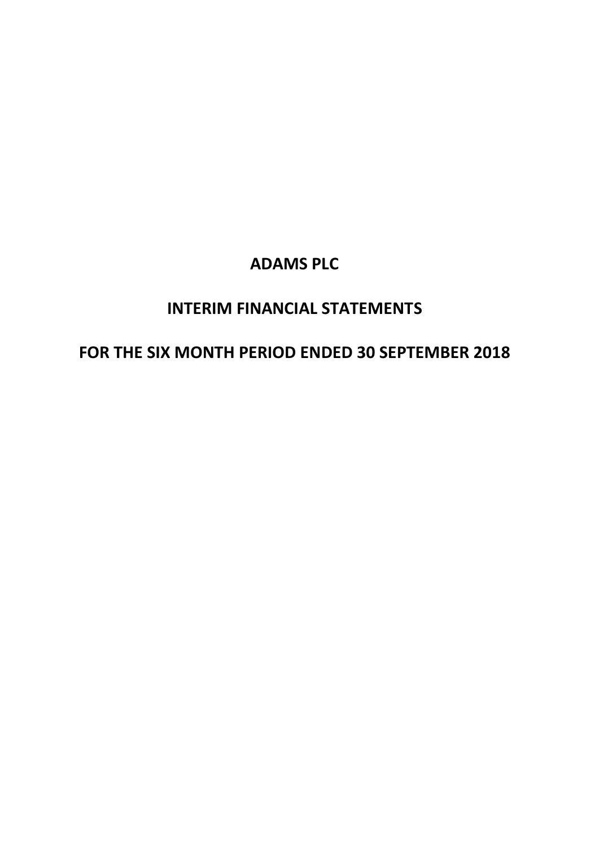# **INTERIM FINANCIAL STATEMENTS**

# **FOR THE SIX MONTH PERIOD ENDED 30 SEPTEMBER 2018**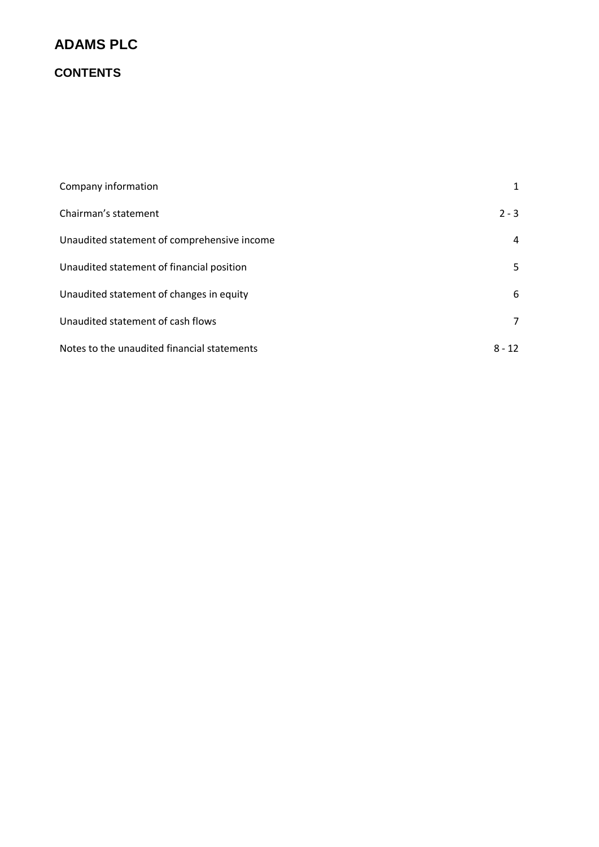## **CONTENTS**

| Company information                         | 1        |
|---------------------------------------------|----------|
| Chairman's statement                        | $2 - 3$  |
| Unaudited statement of comprehensive income | 4        |
| Unaudited statement of financial position   | 5.       |
| Unaudited statement of changes in equity    | 6        |
| Unaudited statement of cash flows           | 7        |
| Notes to the unaudited financial statements | $8 - 12$ |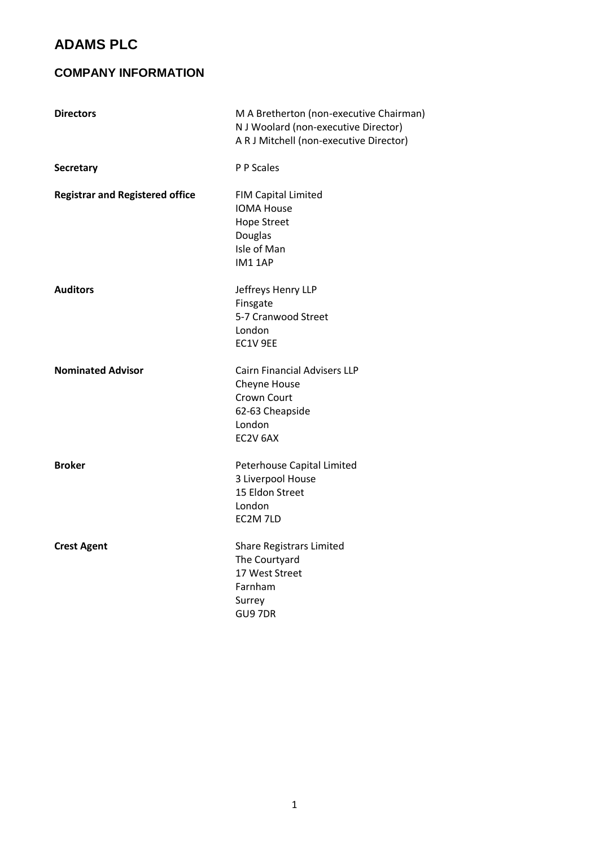### **COMPANY INFORMATION**

| <b>Directors</b>                       | M A Bretherton (non-executive Chairman)<br>N J Woolard (non-executive Director)<br>A R J Mitchell (non-executive Director) |
|----------------------------------------|----------------------------------------------------------------------------------------------------------------------------|
| <b>Secretary</b>                       | P P Scales                                                                                                                 |
| <b>Registrar and Registered office</b> | <b>FIM Capital Limited</b><br><b>IOMA House</b><br><b>Hope Street</b><br>Douglas<br>Isle of Man<br><b>IM1 1AP</b>          |
| <b>Auditors</b>                        | Jeffreys Henry LLP<br>Finsgate<br>5-7 Cranwood Street<br>London<br>EC1V 9EE                                                |
| <b>Nominated Advisor</b>               | <b>Cairn Financial Advisers LLP</b><br>Cheyne House<br>Crown Court<br>62-63 Cheapside<br>London<br>EC2V 6AX                |
| <b>Broker</b>                          | Peterhouse Capital Limited<br>3 Liverpool House<br>15 Eldon Street<br>London<br>EC2M 7LD                                   |
| <b>Crest Agent</b>                     | <b>Share Registrars Limited</b><br>The Courtyard<br>17 West Street<br>Farnham<br>Surrey<br>GU97DR                          |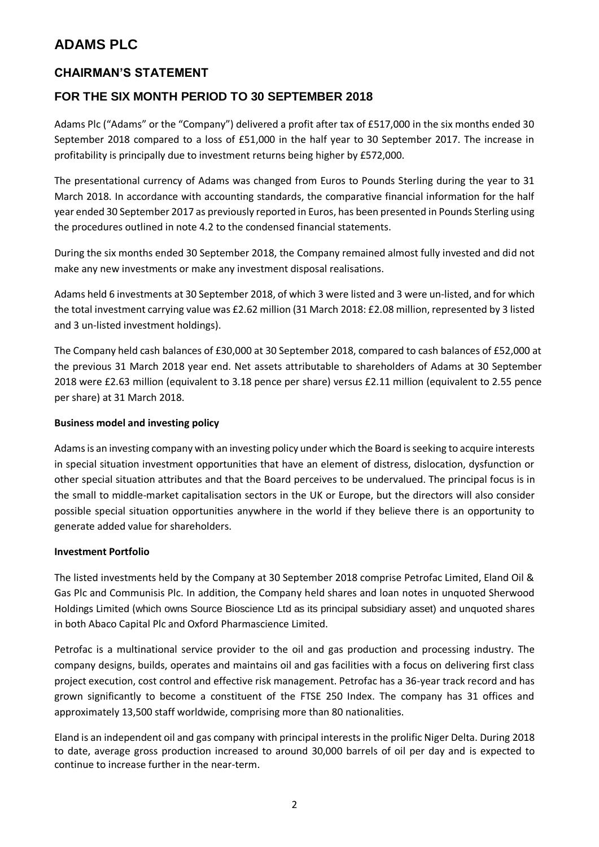### **CHAIRMAN'S STATEMENT**

### **FOR THE SIX MONTH PERIOD TO 30 SEPTEMBER 2018**

Adams Plc ("Adams" or the "Company") delivered a profit after tax of £517,000 in the six months ended 30 September 2018 compared to a loss of £51,000 in the half year to 30 September 2017. The increase in profitability is principally due to investment returns being higher by £572,000.

The presentational currency of Adams was changed from Euros to Pounds Sterling during the year to 31 March 2018. In accordance with accounting standards, the comparative financial information for the half year ended 30 September 2017 as previously reported in Euros, has been presented in Pounds Sterling using the procedures outlined in note 4.2 to the condensed financial statements.

During the six months ended 30 September 2018, the Company remained almost fully invested and did not make any new investments or make any investment disposal realisations.

Adams held 6 investments at 30 September 2018, of which 3 were listed and 3 were un-listed, and for which the total investment carrying value was £2.62 million (31 March 2018: £2.08 million, represented by 3 listed and 3 un-listed investment holdings).

The Company held cash balances of £30,000 at 30 September 2018, compared to cash balances of £52,000 at the previous 31 March 2018 year end. Net assets attributable to shareholders of Adams at 30 September 2018 were £2.63 million (equivalent to 3.18 pence per share) versus £2.11 million (equivalent to 2.55 pence per share) at 31 March 2018.

#### **Business model and investing policy**

Adams is an investing company with an investing policy under which the Board is seeking to acquire interests in special situation investment opportunities that have an element of distress, dislocation, dysfunction or other special situation attributes and that the Board perceives to be undervalued. The principal focus is in the small to middle-market capitalisation sectors in the UK or Europe, but the directors will also consider possible special situation opportunities anywhere in the world if they believe there is an opportunity to generate added value for shareholders.

#### **Investment Portfolio**

The listed investments held by the Company at 30 September 2018 comprise Petrofac Limited, Eland Oil & Gas Plc and Communisis Plc. In addition, the Company held shares and loan notes in unquoted Sherwood Holdings Limited (which owns Source Bioscience Ltd as its principal subsidiary asset) and unquoted shares in both Abaco Capital Plc and Oxford Pharmascience Limited.

Petrofac is a multinational service provider to the oil and gas production and processing industry. The company designs, builds, operates and maintains oil and gas facilities with a focus on delivering first class project execution, cost control and effective risk management. Petrofac has a 36-year track record and has grown significantly to become a constituent of the FTSE 250 Index. The company has 31 offices and approximately 13,500 staff worldwide, comprising more than 80 nationalities.

Eland is an independent oil and gas company with principal interests in the prolific Niger Delta. During 2018 to date, average gross production increased to around 30,000 barrels of oil per day and is expected to continue to increase further in the near-term.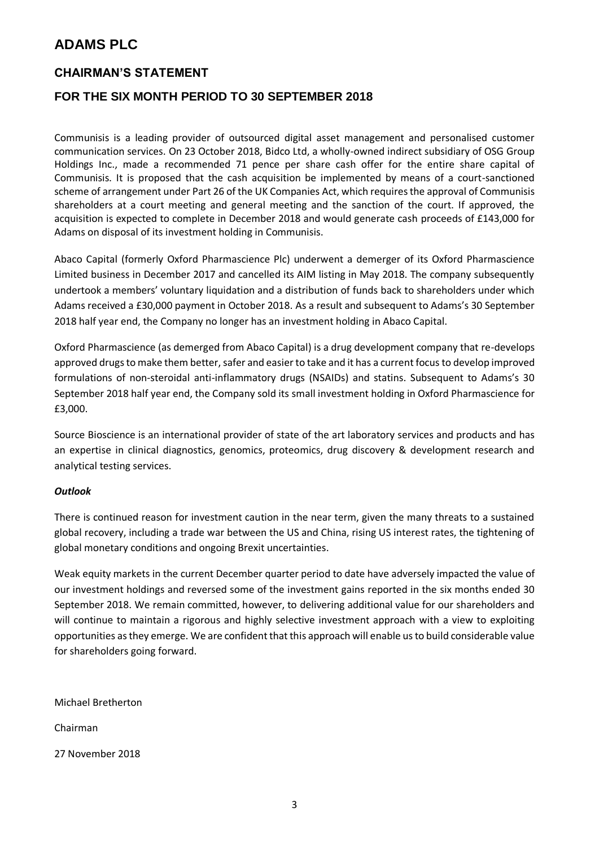### **CHAIRMAN'S STATEMENT**

### **FOR THE SIX MONTH PERIOD TO 30 SEPTEMBER 2018**

Communisis is a leading provider of outsourced digital asset management and personalised customer communication services. On 23 October 2018, Bidco Ltd, a wholly-owned indirect subsidiary of OSG Group Holdings Inc., made a recommended 71 pence per share cash offer for the entire share capital of Communisis. It is proposed that the cash acquisition be implemented by means of a court-sanctioned scheme of arrangement under Part 26 of the UK Companies Act, which requires the approval of Communisis shareholders at a court meeting and general meeting and the sanction of the court. If approved, the acquisition is expected to complete in December 2018 and would generate cash proceeds of £143,000 for Adams on disposal of its investment holding in Communisis.

Abaco Capital (formerly Oxford Pharmascience Plc) underwent a demerger of its Oxford Pharmascience Limited business in December 2017 and cancelled its AIM listing in May 2018. The company subsequently undertook a members' voluntary liquidation and a distribution of funds back to shareholders under which Adams received a £30,000 payment in October 2018. As a result and subsequent to Adams's 30 September 2018 half year end, the Company no longer has an investment holding in Abaco Capital.

Oxford Pharmascience (as demerged from Abaco Capital) is a drug development company that re-develops approved drugs to make them better, safer and easier to take and it has a current focus to develop improved formulations of non-steroidal anti-inflammatory drugs (NSAIDs) and statins. Subsequent to Adams's 30 September 2018 half year end, the Company sold its small investment holding in Oxford Pharmascience for £3,000.

Source Bioscience is an international provider of state of the art laboratory services and products and has an expertise in clinical diagnostics, genomics, proteomics, drug discovery & development research and analytical testing services.

#### *Outlook*

There is continued reason for investment caution in the near term, given the many threats to a sustained global recovery, including a trade war between the US and China, rising US interest rates, the tightening of global monetary conditions and ongoing Brexit uncertainties.

Weak equity markets in the current December quarter period to date have adversely impacted the value of our investment holdings and reversed some of the investment gains reported in the six months ended 30 September 2018. We remain committed, however, to delivering additional value for our shareholders and will continue to maintain a rigorous and highly selective investment approach with a view to exploiting opportunities as they emerge. We are confident that this approach will enable us to build considerable value for shareholders going forward.

Michael Bretherton Chairman 27 November 2018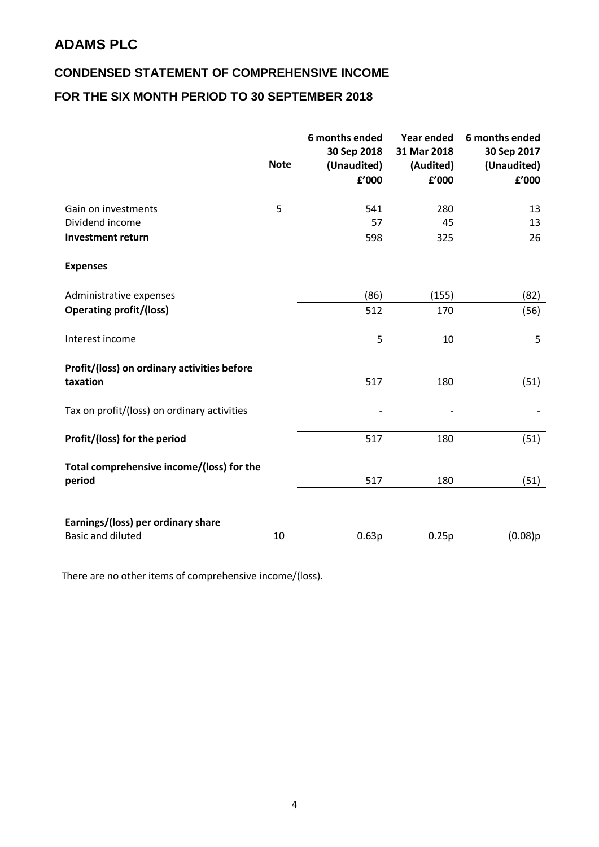## **CONDENSED STATEMENT OF COMPREHENSIVE INCOME**

## **FOR THE SIX MONTH PERIOD TO 30 SEPTEMBER 2018**

|                                                                | <b>Note</b> | 6 months ended<br>30 Sep 2018<br>(Unaudited)<br>£'000 | <b>Year ended</b><br>31 Mar 2018<br>(Audited)<br>f'000 | 6 months ended<br>30 Sep 2017<br>(Unaudited)<br>f'000 |
|----------------------------------------------------------------|-------------|-------------------------------------------------------|--------------------------------------------------------|-------------------------------------------------------|
| Gain on investments<br>Dividend income                         | 5           | 541<br>57                                             | 280<br>45                                              | 13<br>13                                              |
| <b>Investment return</b><br><b>Expenses</b>                    |             | 598                                                   | 325                                                    | 26                                                    |
| Administrative expenses                                        |             | (86)                                                  | (155)                                                  | (82)                                                  |
| <b>Operating profit/(loss)</b>                                 |             | 512                                                   | 170                                                    | (56)                                                  |
| Interest income                                                |             | 5                                                     | 10                                                     | 5                                                     |
| Profit/(loss) on ordinary activities before<br>taxation        |             | 517                                                   | 180                                                    | (51)                                                  |
| Tax on profit/(loss) on ordinary activities                    |             |                                                       |                                                        |                                                       |
| Profit/(loss) for the period                                   |             | 517                                                   | 180                                                    | (51)                                                  |
| Total comprehensive income/(loss) for the<br>period            |             | 517                                                   | 180                                                    | (51)                                                  |
| Earnings/(loss) per ordinary share<br><b>Basic and diluted</b> | 10          | 0.63p                                                 | 0.25p                                                  | (0.08)p                                               |

There are no other items of comprehensive income/(loss).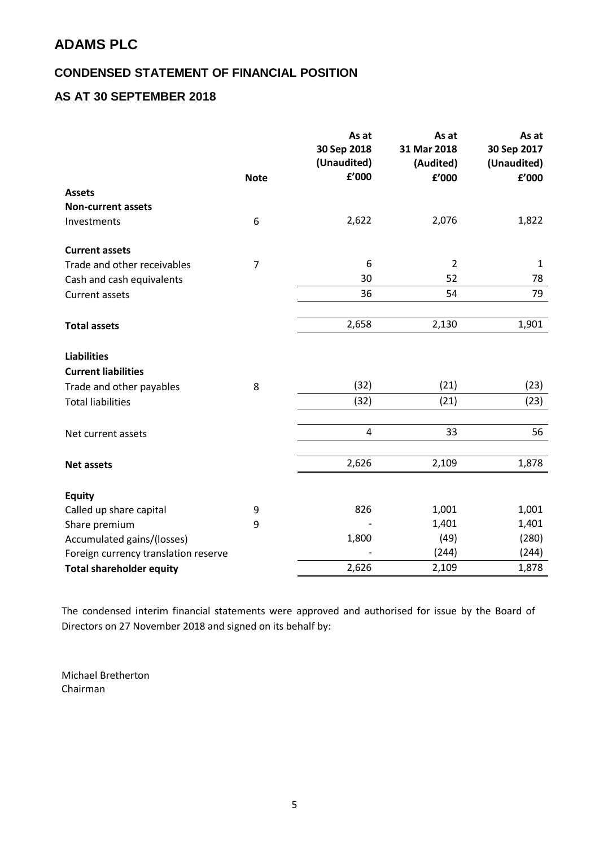### **CONDENSED STATEMENT OF FINANCIAL POSITION**

### **AS AT 30 SEPTEMBER 2018**

|                                      |                | As at<br>30 Sep 2018<br>(Unaudited) | As at<br>31 Mar 2018<br>(Audited) | As at<br>30 Sep 2017<br>(Unaudited) |
|--------------------------------------|----------------|-------------------------------------|-----------------------------------|-------------------------------------|
|                                      | <b>Note</b>    | £'000                               | £'000                             | f'000                               |
| <b>Assets</b>                        |                |                                     |                                   |                                     |
| <b>Non-current assets</b>            |                |                                     |                                   |                                     |
| Investments                          | 6              | 2,622                               | 2,076                             | 1,822                               |
| <b>Current assets</b>                |                |                                     |                                   |                                     |
| Trade and other receivables          | $\overline{7}$ | 6                                   | $\overline{2}$                    | $\mathbf{1}$                        |
| Cash and cash equivalents            |                | 30                                  | 52                                | 78                                  |
| <b>Current assets</b>                |                | 36                                  | 54                                | 79                                  |
|                                      |                |                                     |                                   |                                     |
| <b>Total assets</b>                  |                | 2,658                               | 2,130                             | 1,901                               |
| <b>Liabilities</b>                   |                |                                     |                                   |                                     |
| <b>Current liabilities</b>           |                |                                     |                                   |                                     |
| Trade and other payables             | 8              | (32)                                | (21)                              | (23)                                |
| <b>Total liabilities</b>             |                | (32)                                | (21)                              | (23)                                |
|                                      |                |                                     |                                   |                                     |
| Net current assets                   |                | $\overline{4}$                      | 33                                | 56                                  |
|                                      |                |                                     |                                   |                                     |
| <b>Net assets</b>                    |                | 2,626                               | 2,109                             | 1,878                               |
| <b>Equity</b>                        |                |                                     |                                   |                                     |
| Called up share capital              | 9              | 826                                 | 1,001                             | 1,001                               |
| Share premium                        | 9              |                                     | 1,401                             | 1,401                               |
| Accumulated gains/(losses)           |                | 1,800                               | (49)                              | (280)                               |
| Foreign currency translation reserve |                |                                     | (244)                             | (244)                               |
| <b>Total shareholder equity</b>      |                | 2,626                               | 2,109                             | 1,878                               |

The condensed interim financial statements were approved and authorised for issue by the Board of Directors on 27 November 2018 and signed on its behalf by:

Michael Bretherton Chairman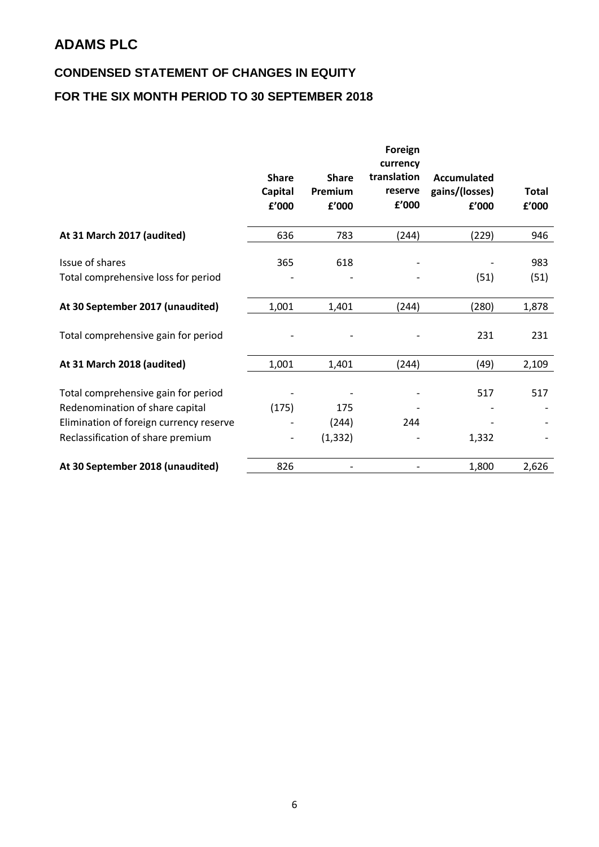# **CONDENSED STATEMENT OF CHANGES IN EQUITY FOR THE SIX MONTH PERIOD TO 30 SEPTEMBER 2018**

|                                         |              |              | Foreign<br>currency |                |       |
|-----------------------------------------|--------------|--------------|---------------------|----------------|-------|
|                                         | <b>Share</b> | <b>Share</b> | translation         | Accumulated    |       |
|                                         | Capital      | Premium      | reserve             | gains/(losses) | Total |
|                                         | £'000        | f'000        | £'000               | f'000          | f'000 |
| At 31 March 2017 (audited)              | 636          | 783          | (244)               | (229)          | 946   |
| Issue of shares                         | 365          | 618          |                     |                | 983   |
| Total comprehensive loss for period     |              |              |                     | (51)           | (51)  |
| At 30 September 2017 (unaudited)        | 1,001        | 1,401        | (244)               | (280)          | 1,878 |
| Total comprehensive gain for period     |              |              |                     | 231            | 231   |
| At 31 March 2018 (audited)              | 1,001        | 1,401        | (244)               | (49)           | 2,109 |
| Total comprehensive gain for period     |              |              |                     | 517            | 517   |
| Redenomination of share capital         | (175)        | 175          |                     |                |       |
| Elimination of foreign currency reserve |              | (244)        | 244                 |                |       |
| Reclassification of share premium       |              | (1, 332)     |                     | 1,332          |       |
| At 30 September 2018 (unaudited)        | 826          |              |                     | 1,800          | 2,626 |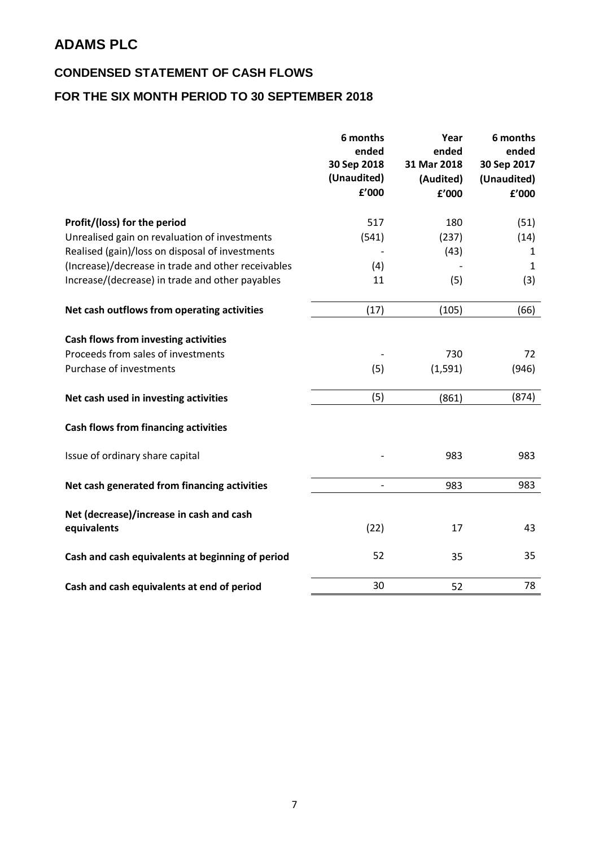### **CONDENSED STATEMENT OF CASH FLOWS**

## **FOR THE SIX MONTH PERIOD TO 30 SEPTEMBER 2018**

|                                                                                                       | 6 months<br>ended<br>30 Sep 2018<br>(Unaudited)<br>£'000 | Year<br>ended<br>31 Mar 2018<br>(Audited)<br>£'000 | 6 months<br>ended<br>30 Sep 2017<br>(Unaudited)<br>£'000 |
|-------------------------------------------------------------------------------------------------------|----------------------------------------------------------|----------------------------------------------------|----------------------------------------------------------|
| Profit/(loss) for the period                                                                          | 517                                                      | 180                                                | (51)                                                     |
| Unrealised gain on revaluation of investments                                                         | (541)                                                    | (237)                                              | (14)                                                     |
| Realised (gain)/loss on disposal of investments                                                       |                                                          | (43)                                               | $\mathbf{1}$                                             |
| (Increase)/decrease in trade and other receivables                                                    | (4)                                                      |                                                    | $\mathbf{1}$                                             |
| Increase/(decrease) in trade and other payables                                                       | 11                                                       | (5)                                                | (3)                                                      |
| Net cash outflows from operating activities                                                           | (17)                                                     | (105)                                              | (66)                                                     |
| Cash flows from investing activities<br>Proceeds from sales of investments<br>Purchase of investments | (5)                                                      | 730<br>(1, 591)                                    | 72<br>(946)                                              |
| Net cash used in investing activities                                                                 | (5)                                                      | (861)                                              | (874)                                                    |
| <b>Cash flows from financing activities</b>                                                           |                                                          |                                                    |                                                          |
| Issue of ordinary share capital                                                                       |                                                          | 983                                                | 983                                                      |
| Net cash generated from financing activities                                                          |                                                          | 983                                                | 983                                                      |
| Net (decrease)/increase in cash and cash<br>equivalents                                               | (22)                                                     | 17                                                 | 43                                                       |
| Cash and cash equivalents at beginning of period                                                      | 52                                                       | 35                                                 | 35                                                       |
| Cash and cash equivalents at end of period                                                            | 30                                                       | 52                                                 | 78                                                       |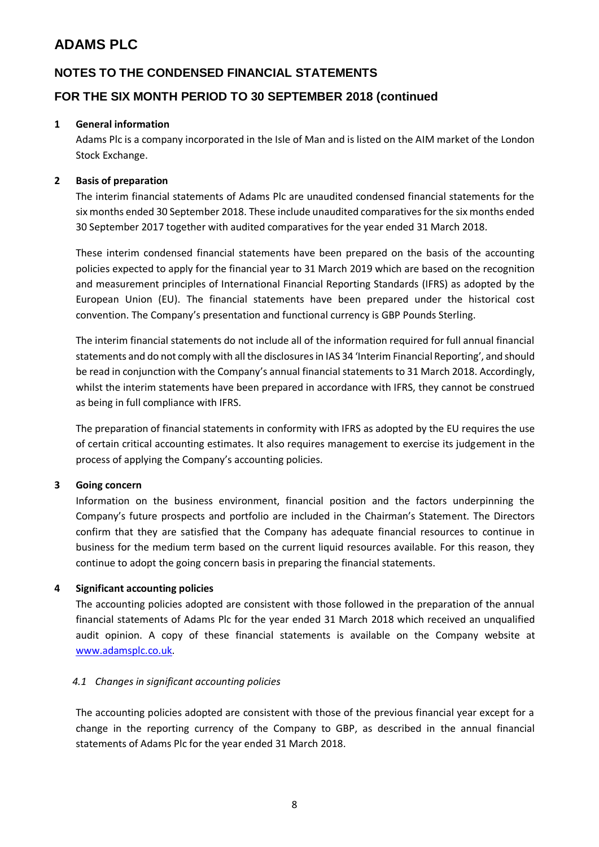### **NOTES TO THE CONDENSED FINANCIAL STATEMENTS**

### **FOR THE SIX MONTH PERIOD TO 30 SEPTEMBER 2018 (continued**

#### **1 General information**

Adams Plc is a company incorporated in the Isle of Man and is listed on the AIM market of the London Stock Exchange.

#### **2 Basis of preparation**

The interim financial statements of Adams Plc are unaudited condensed financial statements for the six months ended 30 September 2018. These include unaudited comparatives for the six months ended 30 September 2017 together with audited comparatives for the year ended 31 March 2018.

These interim condensed financial statements have been prepared on the basis of the accounting policies expected to apply for the financial year to 31 March 2019 which are based on the recognition and measurement principles of International Financial Reporting Standards (IFRS) as adopted by the European Union (EU). The financial statements have been prepared under the historical cost convention. The Company's presentation and functional currency is GBP Pounds Sterling.

The interim financial statements do not include all of the information required for full annual financial statements and do not comply with all the disclosures in IAS 34 'Interim Financial Reporting', and should be read in conjunction with the Company's annual financial statements to 31 March 2018. Accordingly, whilst the interim statements have been prepared in accordance with IFRS, they cannot be construed as being in full compliance with IFRS.

The preparation of financial statements in conformity with IFRS as adopted by the EU requires the use of certain critical accounting estimates. It also requires management to exercise its judgement in the process of applying the Company's accounting policies.

#### **3 Going concern**

Information on the business environment, financial position and the factors underpinning the Company's future prospects and portfolio are included in the Chairman's Statement. The Directors confirm that they are satisfied that the Company has adequate financial resources to continue in business for the medium term based on the current liquid resources available. For this reason, they continue to adopt the going concern basis in preparing the financial statements.

#### **4 Significant accounting policies**

The accounting policies adopted are consistent with those followed in the preparation of the annual financial statements of Adams Plc for the year ended 31 March 2018 which received an unqualified audit opinion. A copy of these financial statements is available on the Company website at [www.adamsplc.co.uk.](http://www.adamsplc.co.uk/)

#### *4.1 Changes in significant accounting policies*

The accounting policies adopted are consistent with those of the previous financial year except for a change in the reporting currency of the Company to GBP, as described in the annual financial statements of Adams Plc for the year ended 31 March 2018.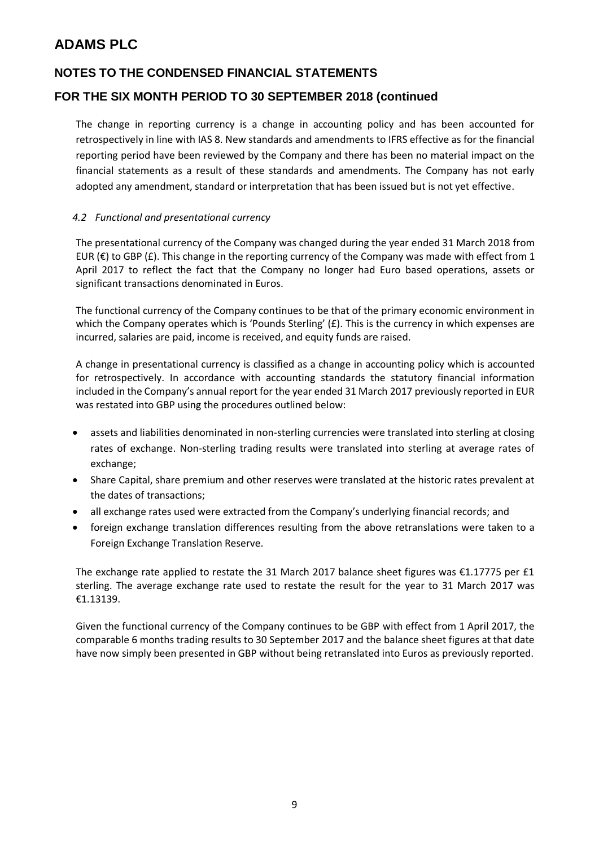### **NOTES TO THE CONDENSED FINANCIAL STATEMENTS**

### **FOR THE SIX MONTH PERIOD TO 30 SEPTEMBER 2018 (continued**

The change in reporting currency is a change in accounting policy and has been accounted for retrospectively in line with IAS 8. New standards and amendments to IFRS effective as for the financial reporting period have been reviewed by the Company and there has been no material impact on the financial statements as a result of these standards and amendments. The Company has not early adopted any amendment, standard or interpretation that has been issued but is not yet effective.

#### *4.2 Functional and presentational currency*

The presentational currency of the Company was changed during the year ended 31 March 2018 from EUR ( $\epsilon$ ) to GBP ( $\epsilon$ ). This change in the reporting currency of the Company was made with effect from 1 April 2017 to reflect the fact that the Company no longer had Euro based operations, assets or significant transactions denominated in Euros.

The functional currency of the Company continues to be that of the primary economic environment in which the Company operates which is 'Pounds Sterling' (£). This is the currency in which expenses are incurred, salaries are paid, income is received, and equity funds are raised.

A change in presentational currency is classified as a change in accounting policy which is accounted for retrospectively. In accordance with accounting standards the statutory financial information included in the Company's annual report for the year ended 31 March 2017 previously reported in EUR was restated into GBP using the procedures outlined below:

- assets and liabilities denominated in non-sterling currencies were translated into sterling at closing rates of exchange. Non-sterling trading results were translated into sterling at average rates of exchange;
- Share Capital, share premium and other reserves were translated at the historic rates prevalent at the dates of transactions;
- all exchange rates used were extracted from the Company's underlying financial records; and
- foreign exchange translation differences resulting from the above retranslations were taken to a Foreign Exchange Translation Reserve.

The exchange rate applied to restate the 31 March 2017 balance sheet figures was  $\epsilon$ 1.17775 per £1 sterling. The average exchange rate used to restate the result for the year to 31 March 2017 was €1.13139.

Given the functional currency of the Company continues to be GBP with effect from 1 April 2017, the comparable 6 months trading results to 30 September 2017 and the balance sheet figures at that date have now simply been presented in GBP without being retranslated into Euros as previously reported.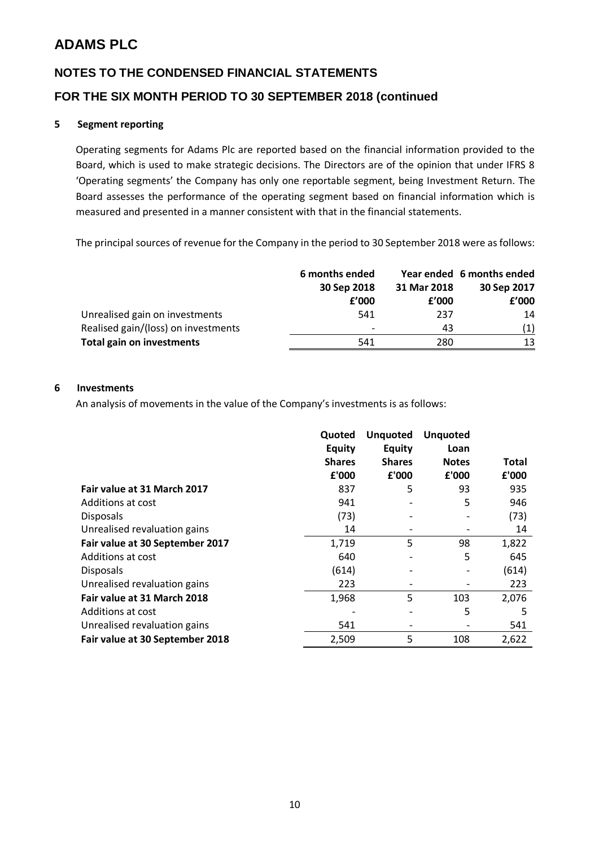# **NOTES TO THE CONDENSED FINANCIAL STATEMENTS FOR THE SIX MONTH PERIOD TO 30 SEPTEMBER 2018 (continued**

#### **5 Segment reporting**

Operating segments for Adams Plc are reported based on the financial information provided to the Board, which is used to make strategic decisions. The Directors are of the opinion that under IFRS 8 'Operating segments' the Company has only one reportable segment, being Investment Return. The Board assesses the performance of the operating segment based on financial information which is measured and presented in a manner consistent with that in the financial statements.

The principal sources of revenue for the Company in the period to 30 September 2018 were as follows:

|                                     | 6 months ended<br>30 Sep 2018<br>f'000 |       | Year ended 6 months ended |             |
|-------------------------------------|----------------------------------------|-------|---------------------------|-------------|
|                                     |                                        |       | 31 Mar 2018               | 30 Sep 2017 |
|                                     |                                        | f'000 | £'000                     |             |
| Unrealised gain on investments      | 541                                    | 237   | 14                        |             |
| Realised gain/(loss) on investments | $\overline{\phantom{a}}$               | 43    | (1)                       |             |
| <b>Total gain on investments</b>    | 541                                    | 280   | 13                        |             |

#### **6 Investments**

An analysis of movements in the value of the Company's investments is as follows:

|                                 | Quoted<br><b>Equity</b> | <b>Unquoted</b><br><b>Equity</b> | <b>Unquoted</b><br>Loan |       |
|---------------------------------|-------------------------|----------------------------------|-------------------------|-------|
|                                 | <b>Shares</b>           | <b>Shares</b>                    | <b>Notes</b>            | Total |
|                                 | £'000                   | £'000                            | £'000                   | £'000 |
| Fair value at 31 March 2017     | 837                     | 5                                | 93                      | 935   |
| Additions at cost               | 941                     |                                  | 5                       | 946   |
| <b>Disposals</b>                | (73)                    |                                  |                         | (73)  |
| Unrealised revaluation gains    | 14                      |                                  |                         | 14    |
| Fair value at 30 September 2017 | 1,719                   | 5                                | 98                      | 1,822 |
| Additions at cost               | 640                     |                                  | 5                       | 645   |
| <b>Disposals</b>                | (614)                   | -                                |                         | (614) |
| Unrealised revaluation gains    | 223                     |                                  |                         | 223   |
| Fair value at 31 March 2018     | 1,968                   | 5                                | 103                     | 2,076 |
| Additions at cost               |                         |                                  | 5                       | 5     |
| Unrealised revaluation gains    | 541                     | -                                |                         | 541   |
| Fair value at 30 September 2018 | 2,509                   | 5                                | 108                     | 2,622 |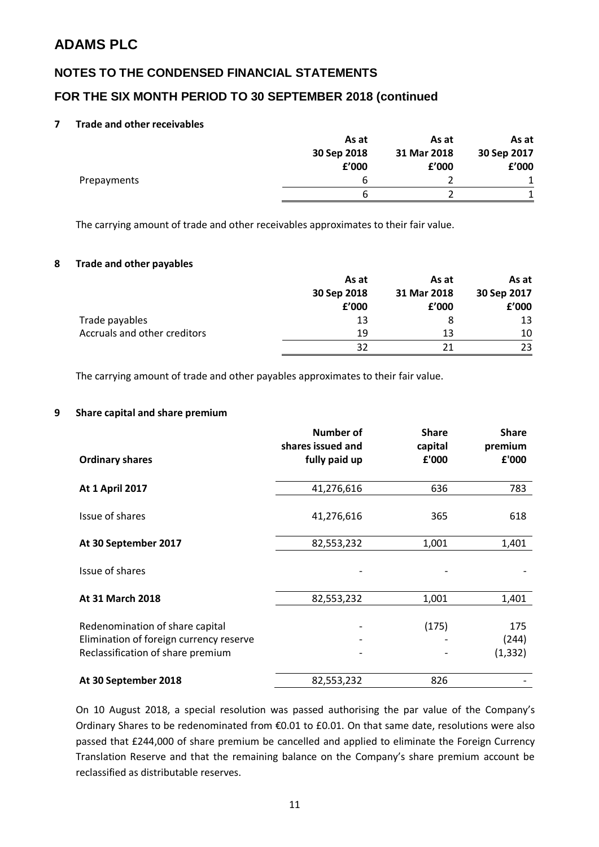### **NOTES TO THE CONDENSED FINANCIAL STATEMENTS**

### **FOR THE SIX MONTH PERIOD TO 30 SEPTEMBER 2018 (continued**

#### **7 Trade and other receivables**

|             | As at       | As at       | As at       |
|-------------|-------------|-------------|-------------|
|             | 30 Sep 2018 | 31 Mar 2018 | 30 Sep 2017 |
|             | £'000       | f'000       | f'000       |
| Prepayments | b           |             |             |
|             | h           |             |             |

The carrying amount of trade and other receivables approximates to their fair value.

#### **8 Trade and other payables**

|                                     | As at                      | As at | As at |             |
|-------------------------------------|----------------------------|-------|-------|-------------|
|                                     | 31 Mar 2018<br>30 Sep 2018 |       |       | 30 Sep 2017 |
|                                     | £'000                      | f'000 | £'000 |             |
| Trade payables                      | 13                         |       | 13    |             |
| <b>Accruals and other creditors</b> | 19                         | 13    | 10    |             |
|                                     | 32                         | 21    | 23    |             |

The carrying amount of trade and other payables approximates to their fair value.

#### **9 Share capital and share premium**

| <b>Ordinary shares</b>                                                                                          | <b>Number of</b><br>shares issued and<br>fully paid up | <b>Share</b><br>capital<br>£'000 | <b>Share</b><br>premium<br>£'000 |
|-----------------------------------------------------------------------------------------------------------------|--------------------------------------------------------|----------------------------------|----------------------------------|
|                                                                                                                 |                                                        |                                  |                                  |
| <b>At 1 April 2017</b>                                                                                          | 41,276,616                                             | 636                              | 783                              |
| Issue of shares                                                                                                 | 41,276,616                                             | 365                              | 618                              |
| At 30 September 2017                                                                                            | 82,553,232                                             | 1,001                            | 1,401                            |
| Issue of shares                                                                                                 |                                                        |                                  |                                  |
| At 31 March 2018                                                                                                | 82,553,232                                             | 1,001                            | 1,401                            |
| Redenomination of share capital<br>Elimination of foreign currency reserve<br>Reclassification of share premium | -                                                      | (175)                            | 175<br>(244)<br>(1, 332)         |
| At 30 September 2018                                                                                            | 82,553,232                                             | 826                              |                                  |

On 10 August 2018, a special resolution was passed authorising the par value of the Company's Ordinary Shares to be redenominated from €0.01 to £0.01. On that same date, resolutions were also passed that £244,000 of share premium be cancelled and applied to eliminate the Foreign Currency Translation Reserve and that the remaining balance on the Company's share premium account be reclassified as distributable reserves.